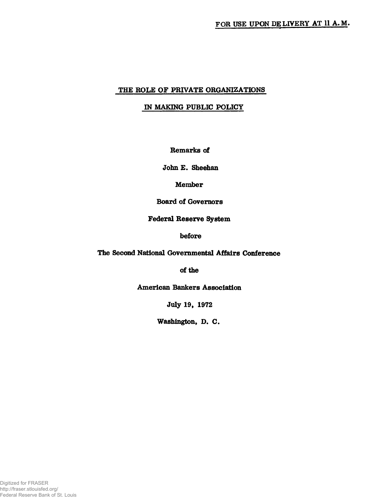## **THE ROLE OF PRIVATE ORGANIZATIONS**

# **IN MAKING PUBLIC POLICY**

**Remarks of**

**John E. Sheehan**

**Member**

**Board of Governors**

**Federal Reserve System**

**before**

**The Second National Governmental Affairs Conference**

**of fhe**

**American Bankers Association**

**July 19, 1972**

**Washington, D. C.**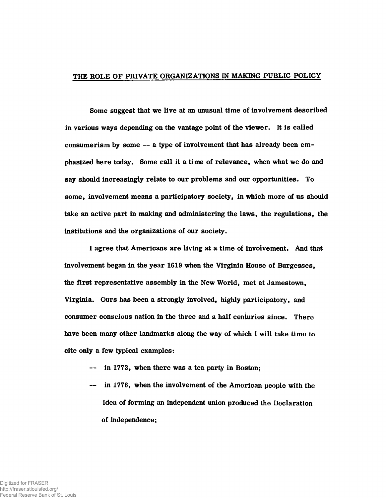#### THE ROLE OF PRIVATE ORGANIZATIONS IN MAKING PUBLIC POLICY

Some suggest that we live at an unusual time of involvement described in various ways depending on the vantage point of the viewer. It is called consumerism by some — a type of involvement that has already been emphasized here today. Some call it a time of relevance, when what we do and say should increasingly relate to our problems and our opportunities. To some, involvement means a participatory society, in which more of us should take an active part in making and administering the laws, the regulations, the institutions and the organizations of our society.

I agree that Americans are living at a time of involvement. And that involvement began in the year 1619 when the Virginia House of Burgesses, the first representative assembly in the New World, met at Jamestown, Virginia. Ours has been a strongly involved, highly participatory, and consumer conscious nation in the three and a half centuries since. There have been many other landmarks along the way of which 1 will take time to cite only a few typical examples:

- in 1773, when there was a tea party in Boston;
- in 1776, when the involvement of the American people with the idea of forming an independent union produced the Declaration of independence;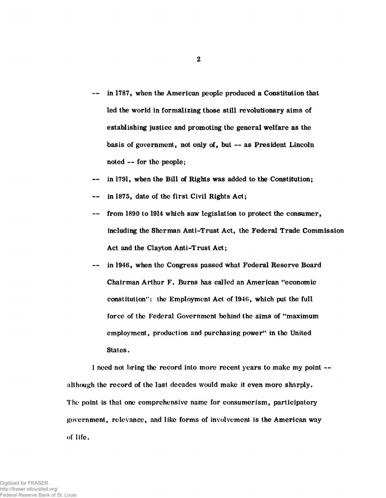- in 1787, when the American people produced a Constitution that led the world in formalizing those still revolutionary aims of establishing justicc and promoting the general welfare as the basis of government, not only of, but — as President Lincoln noted — for the people;
- in 1791, when the Bill of Rights was added to the Constitution;
- in 1875, date of the first Civil Rights Act;
- from 1890 to 1914 which saw legislation to protect the consumer, including the Sherman Anti-Trust Act, the Federal Trade Commission Act and the Clayton Anti-Trust Act;
- in 1946, when the Congress passed what Federal Reserve Board Chairman Arthur F. Burns has called an American "economic constitution": the Employment Act of 1946, which pul the full force of the Federal Government behind the aims of "maximum employment, production and purchasing power" in the United States.

I need not bring the record into more recent years to make my point although the record of the last decades would make it even more sharply. The point is that one comprehensive name for consumerism, participatory government, relevance, and like forms of involvement is the American way of life.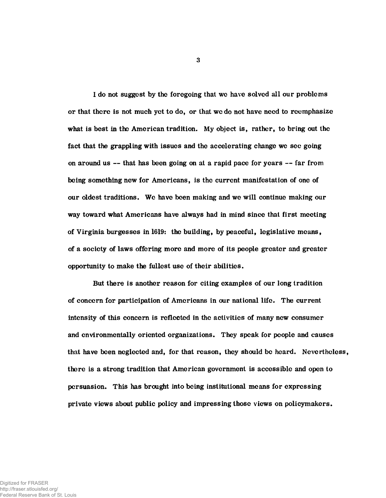I do not suggest by the foregoing that we have solved all our problems or that there is not much yet to do, or that we do not have need to reemphasize what is best in the American tradition. My object is, rather, to bring out the fact that the grappling with issues and the accelerating change we see going on around us — that has been going on at a rapid pace for years — far from being something new for Americans, is the current manifestation of one of our oldest traditions. We have been making and we will continue making our way toward what Americans have always had in mind since that first meeting of Virginia burgesses in 1619: the building, by peaceful, legislative means, of a society of laws offering more and more of its people greater and greater opportunity to make the fullest use of their abilities.

But there is another reason for citing examples of our long tradition of concern for participation of Americans in our national life. The current intensity of this concern is reflected in the activities of many new consumer and environmentally oriented organizations. They speak for people and causes that have been neglected and, for that reason, they should be heard. Nevertheless, there is a strong tradition that American government is accessible and open to persuasion. This has brought into being institutional means for expressing private views about public policy and impressing those views on policymakers.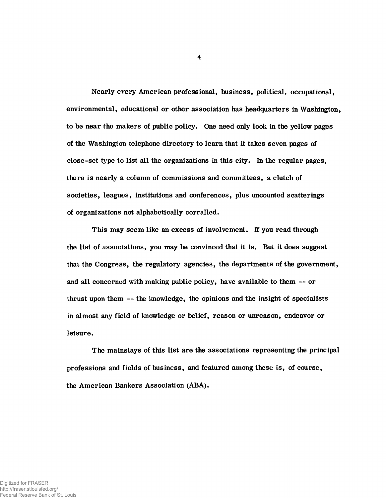Nearly every American professional, business, political, occupational, environmental, educational or other association has headquarters in Washington, to be near the makers of public policy. One need only look in the yellow pages of the Washington telephone directory to learn that it takes seven pages of close-set type to list all the organizations in this city. In the regular pages, there is nearly a column of commissions and committees, a clutch of societies, leagues, institutions and conferences, plus uncounted scatterings of organizations not alphabetically corralled.

This may seem like an excess of involvement. If you read through the list of associations, you may be convinced that it is. But it does suggest that the Congress, the regulatory agencies, the departments of the government, and all concerned with making public policy, have available to them — or thrust upon them — the knowledge, the opinions and the insight of specialists in almost any field of knowledge or belief, reason or unreason, endeavor or leisure.

The mainstays of this list are the associations representing the principal professions and fields of business, and featured among these is, of course, the American Bankers Association (ABA).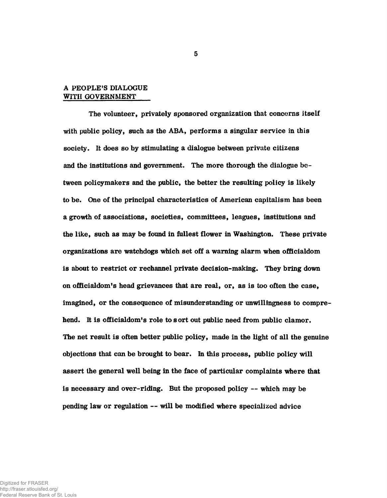## A PEOPLE'S DIALOGUE WITH GOVERNMENT

The volunteer, privately sponsored organization that concerns itself with public policy, such as the ABA, performs a singular service in this society. It does so by stimulating a dialogue between private citizens and the institutions and government. The more thorough the dialogue between policymakers and the public, the better the resulting policy is likely to be. One of the principal characteristics of American capitalism has been a growth of associations, societies, committees, leagues, institutions and the like, such as may be found in fullest flower in Washington. These private organizations are watchdogs which set off a warning alarm when officialdom is about to restrict or rechannel private decision-making. They bring down on officialdom's head grievances that are real, or, as is too often the case, imagined, or the consequence of misunderstanding or unwillingness to comprehend. It is officialdom's role to sort out public need from public clamor. The net result is often better public policy, made in the light of all the genuine objections that can be brought to bear. In this process, public policy will assert the general well being in the face of particular complaints where that is necessary and over-riding. But the proposed policy — which may be pending law or regulation — will be modified where specialized advice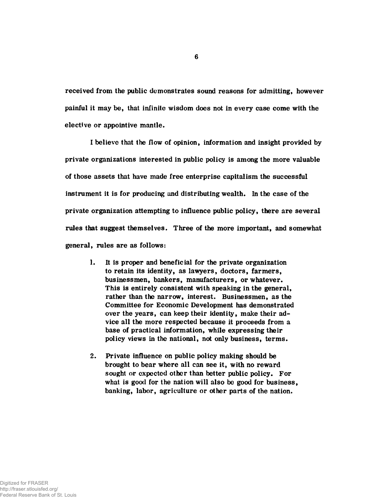received from the public demonstrates sound reasons for admitting, however painful it may be, that infinite wisdom does not in every case come with the elective or appointive mantle.

I believe that the flow of opinion, information and insight provided by private organizations interested in public policy is among the more valuable of those assets that have made free enterprise capitalism the successful instrument it is for producing and distributing wealth. In the case of the private organization attempting to influence public policy, there are several rules that suggest themselves. Three of the more important, and somewhat general, rules are as follows:

- 1. It is proper and beneficial for the private organization to retain its identity, as lawyers, doctors, farmers, businessmen, bankers, manufacturers, or whatever. This is entirely consistent with speaking in the general, rather than the narrow, interest. Businessmen, as the Committee for Economic Development has demonstrated over the years, can keep their identity, make their advice all the more respected because it proceeds from a base of practical information, while expressing their policy views in the national, not only business, terms.
- 2. Private influence on public policy making should be brought to bear where all can see it, with no reward sought or expectcd other than better public policy. For what is good for the nation will also be good for business, banking, labor, agriculture or other parts of the nation.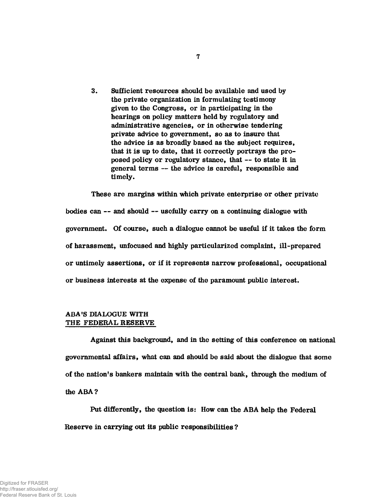3. Sufficient resources should be available and used by the private organization in formulating testimony given to the Congress, or in participating in the hearings on policy matters held by regulatory and administrative agencies, or in otherwise tendering private advice to government, so as to insure that the advice is as broadly based as the subject requires, that it is up to date, that it correctly portrays the proposed policy or regulatory stance, that — to state it in general terms — the advice is careful, responsible and timely.

These are margins within which private enterprise or other private bodies can — and should — usefully carry on a continuing dialogue with government. Of course, such a dialogue cannot be useful if it takes the form of harassment, unfocused and highly particularized complaint, ill-prepared or untimely assertions, or if it represents narrow professional, occupational or business interests at the expense of the paramount public interest.

## ABA'S DIALOGUE WITH THE FEDERAL RESERVE

Against this background, and in the setting of this conference on national governmental affairs, what can and should be said about the dialogue that some of the nation's bankers maintain with the central bank, through the medium of the ABA ?

Put differently, the question is: How can the ABA help the Federal Reserve in carrying out its public responsibilities ?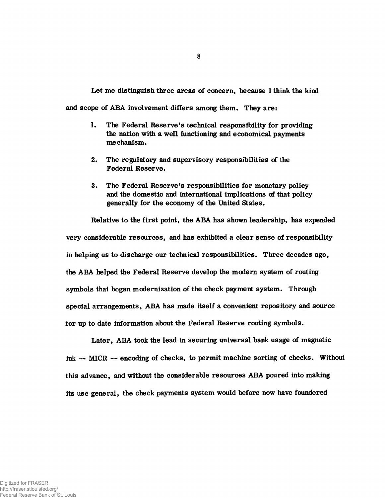Let me distinguish three areas of concern, because I think the kind

and scope of ABA involvement differs among them. They are:

- 1. The Federal Reserve's technical responsibility for providing the nation with a well functioning and economical payments mechanism.
- 2. The regulatory and supervisory responsibilities of the Federal Reserve.
- 3. The Federal Reserve's responsibilities for monetary policy and the domestic and international implications of that policy generally for the economy of the United States.

Relative to the first point, the ABA has shown leadership, has expended very considerable resources, and has exhibited a clear sense of responsibility in helping us to discharge our technical responsibilities. Three decades ago, the ABA helped the Federal Reserve develop the modern system of routing symbols that began modernization of the check payment system. Through special arrangements, ABA has made itself a convenient repository and source for up to date information about the Federal Reserve routing symbols.

Later, ABA took the lead in securing universal bank usage of magnetic ink — MICR — encoding of checks, to permit machine sorting of checks. Without this advance, and without the considerable resources ABA poured into making its use general, the check payments system would before now have foundered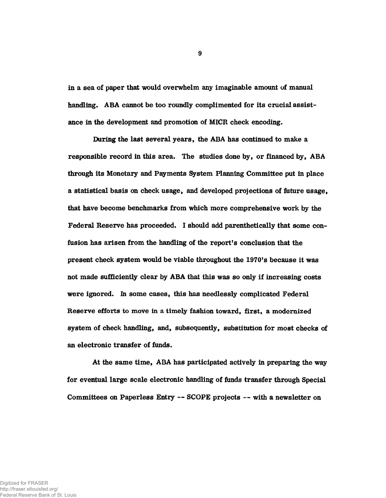in a sea of paper that would overwhelm any imaginable amount of manual handling. ABA cannot be too roundly complimented for its crucial assistance in the development and promotion of MICR check encoding.

During the last several years, the ABA has continued to make a responsible record in this area. The studies done by, or financed by, ABA through its Monetary and Payments System Planning Committee put in place a statistical basis on check usage, and developed projections of future usage, that have become benchmarks from which more comprehensive work by the Federal Reserve has proceeded. I should add parenthetically that some confusion has arisen from the handling of the report's conclusion that the present check system would be viable throughout the 1970's because it was not made sufficiently clear by ABA that this was so only if increasing costs were ignored, in some cases, this has needlessly complicated Federal Reserve efforts to move in a timely fashion toward, first, a modernized system of check handling, and, subsequently, substitution for most checks of an electronic transfer of funds.

At the same time, ABA has participated actively in preparing the way for eventual large scale electronic handling of funds transfer through Special Committees on Paperless Entry — SCOPE projects — with a newsletter on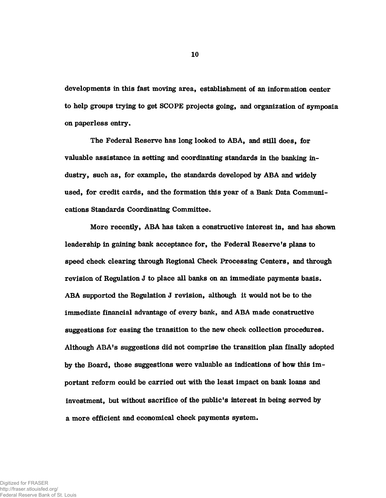developments in this fast moving area, establishment of an information center to help groups trying to get SCOPE projects going, and organization of symposia on paperless entry.

The Federal Reserve has long looked to ABA, and still does, for valuable assistance in setting and coordinating standards in the banking industry, such as, for example, the standards developed by ABA and widely used, for credit cards, and the formation this year of a Bank Data Communications Standards Coordinating Committee.

More recently, ABA has taken a constructive interest in, and has shown leadership in gaining bank acceptance for, the Federal Reserve's plans to speed check clearing through Regional Check Processing Centers, and through revision of Regulation J to place all banks on an immediate payments basis. ABA supported the Regulation J revision, although it would not be to the immediate financial advantage of every bank, and ABA made constructive suggestions for easing the transition to the new check collection procedures. Although ABA's suggestions did not comprise the transition plan finally adopted by the Board, those suggestions were valuable as indications of how this important reform could be carried out with the least impact on bank loans and investment, but without sacrifice of the public's interest in being served by a more efficient and economical check payments system.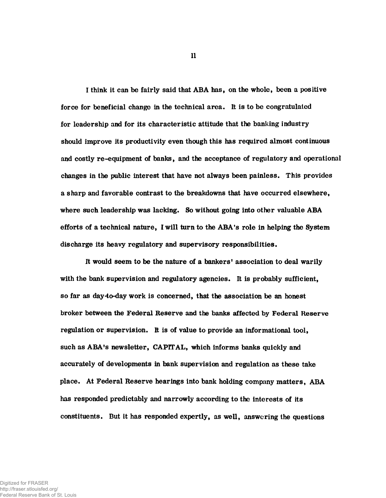I think it can be fairly said that ABA has, on the whole, been a positive force for beneficial change in the technical area. It is to be congratulated for leadership and for its characteristic attitude that the banking industry should improve its productivity even though this has required almost continuous and costly re-equipment of banks, and the acceptance of regulatory and operational changes in the public interest that have not always been painless. This provides a sharp and favorable contrast to the breakdowns that have occurred elsewhere, where such leadership was lacking. So without going into other valuable ABA efforts of a technical nature, I will turn to the ABA's role in helping the System discharge its heavy regulatory and supervisory responsibilities.

It would seem to be the nature of a bankers' association to deal warily with the bank supervision and regulatory agencies. It is probably sufficient, so far as day-to-day work is concerned, that the association be an honest broker between the Federal Reserve and the banks affected by Federal Reserve regulation or supervision. It is of value to provide an informational tool, such as ABA's newsletter, CAPITAL, which informs banks quickly and accurately of developments in bank supervision and regulation as these take place. At Federal Reserve hearings into bank holding company matters, ABA has responded predictably and narrowly according to the interests of its constituents. But it has responded expertly, as well, answering the questions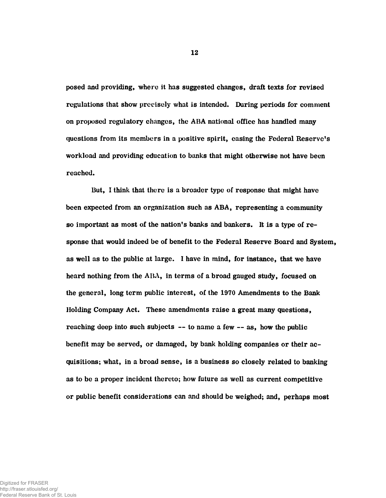posed and providing, where it has suggested changes, draft texts for revised regulations that show precisely what is intended. During periods for comment on proposed regulatory changes, the AHA national office has handled many questions from its members in a positive spirit, easing the Federal Reserve's workload and providing education to banks that might otherwise not have been reached.

But, I think that there is a broader type of response that might have been expected from an organization such as ABA, representing a community so important as most of the nation's banks and bankers. It is a type of response that would indeed be of benefit to the Federal Reserve Board and System, as well as to the public at large. I have in mind, for instance, that we have heard nothing from the ABA, in terms of a broad gauged study, focused on the general, long term public interest, of the 1970 Amendments to the Bank Holding Company Act. These amendments raise a great many questions, reaching deep into such subjects — to name a few — as, how the public benefit may be served, or damaged, by bank holding companies or their acquisitions; what, in a broad sense, is a business so closely related to banking as to be a proper incident thereto; how future as well as current competitive or public benefit considerations can and should be weighed; and, perhaps most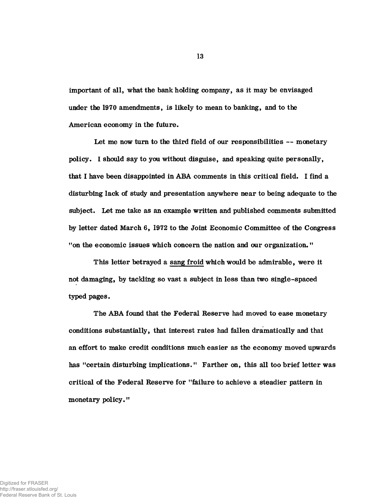important of all, what the bank holding company, as it may be envisaged under the 1970 amendments, is likely to mean to banking, and to the American economy in the future.

Let me now turn to the third field of our responsibilities — monetary policy. I should say to you without disguise, and speaking quite personally, that I have been disappointed in ABA comments in this critical field. I find a disturbing lack of study and presentation anywhere near to being adequate to the subject. Let me take as an example written and published comments submitted by letter dated March 6, 1972 to the Joint Economic Committee of the Congress "on the economic issues which concern the nation and our organization."

This letter betrayed a sang froid which would be admirable, were it not damaging, by tackling so vast a subject in less than two single-spaced typed pages.

The ABA found that the Federal Reserve had moved to ease monetary conditions substantially, that interest rates had fallen dramatically and that an effort to make credit conditions much easier as the economy moved upwards has "certain disturbing implications." Farther on, this all too brief letter was critical of the Federal Reserve for "failure to achieve a steadier pattern in monetary policy."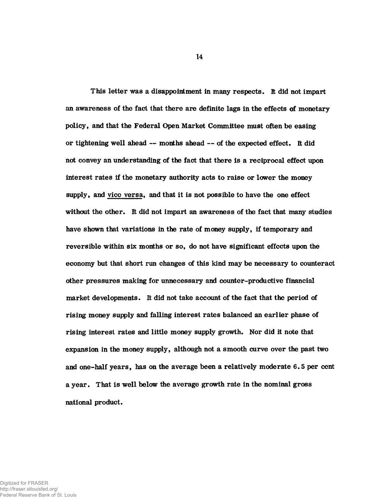This letter was a disappointment in many respects. It did not impart an awareness of the fact that there are definite lags in the effects of monetary policy, and that the Federal Open Market Committee must often be easing or tightening well ahead — months ahead — of the expected effect. It did not convey an understanding of the fact that there is a reciprocal effect upon interest rates if the monetary authority acts to raise or lower the money supply, and vico versa, and that it is not possible to have the one effect without the other. It did not impart an awareness of the fact that many studies have shown that variations in the rate of money supply, if temporary and reversible within six months or so, do not have significant effccts upon the economy but that short run changes of this kind may be necessary to counteract other pressures making for unnecessary and counter-productive financial market developments. It did not take account of the fact that the period of rising money supply and falling interest rates balanced an earlier phase of rising interest rates and little money supply growth. Nor did it note that expansion in the money supply, although not a smooth curve over the past two and one-half years, has on the average been a relatively moderate 6.5 per cent a year. That is well below the average growth rate in the nominal gross national product.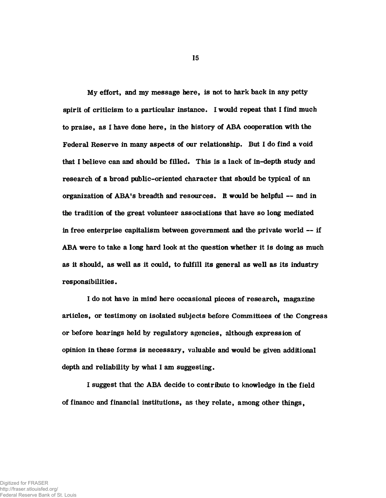My effort, and my message here, is not to hark back in any petty spirit of criticism to a particular instance. I would repeat that I find much to praise, as I have done here, in the history of ABA cooperation with the Federal Reserve in many aspects of our relationship. But I do find a void that I believe can and should be filled. This is a lack of in-depth study and research of a broad public-oriented character that should be typical of an organization of ABA's breadth and resources, ft would be helpful — and in the tradition of the great volunteer associations that have so long mediated in free enterprise capitalism between government and the private world — if ABA were to take a long hard look at the question whether it is doing as much as it should, as well as it could, to fulfill its general as well as its industry responsibilities.

I do not have in mind here occasional pieces of research, magazine articles, or testimony on isolated subjects before Committees of the Congress or before hearings held by regulatory agencies, although expression of opinion in these forms is necessary, valuable and would be given additional depth and reliability by what I am suggesting.

I suggest that the ABA decide to contribute to knowledge in the field of financc and financial institutions, as they relate, among other things,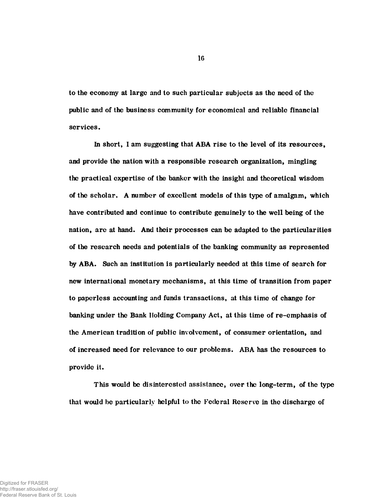to the economy at large and to such particular subjects as the need of the public and of the business community for economical and reliable financial services.

In short, I am suggesting that ABA rise to the level of its resources, and provide the nation with a responsible research organization, mingling the practical expertise of the banker with the insight and theoretical wisdom of the scholar. A number of excellent models of this type of amalgam, which have contributed and continue to contribute genuinely to the well being of the nation, are at hand. And their processes can be adapted to the particularities of the research needs and potentials of the banking community as represented by ABA. Such an institution is particularly needed at this time of search for new international monetary mechanisms, at this time of transition from paper to paperless accounting and funds transactions, at this time of change for banking under the Bank Holding Company Act, at this time of re-emphasis of the American tradition of public involvement, of consumer orientation, and of increased need for relevance to our problems. ABA has the resources to provide it.

This would be disinterested assistance, over the long-term, of the type that would be particularly helpful to the Federal Reserve in the discharge of